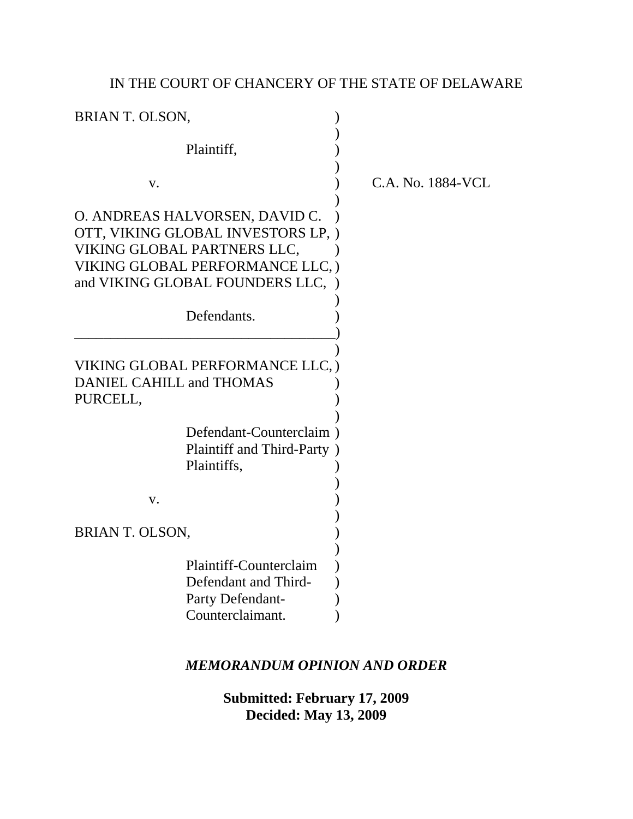# IN THE COURT OF CHANCERY OF THE STATE OF DELAWARE

|                                                                                                                                                                                           | C.A. |
|-------------------------------------------------------------------------------------------------------------------------------------------------------------------------------------------|------|
| O. ANDREAS HALVORSEN, DAVID C.<br>OTT, VIKING GLOBAL INVESTORS LP, )<br>VIKING GLOBAL PARTNERS LLC,<br>VIKING GLOBAL PERFORMANCE LLC, )<br>and VIKING GLOBAL FOUNDERS LLC,<br>Defendants. |      |
| VIKING GLOBAL PERFORMANCE LLC, )<br><b>DANIEL CAHILL and THOMAS</b>                                                                                                                       |      |
| Defendant-Counterclaim<br>Plaintiff and Third-Party )<br>Plaintiffs,                                                                                                                      |      |
|                                                                                                                                                                                           |      |
| Plaintiff-Counterclaim<br>Defendant and Third-<br>Party Defendant-<br>Counterclaimant.                                                                                                    |      |
|                                                                                                                                                                                           |      |

No. 1884-VCL

## *MEMORANDUM OPINION AND ORDER*

**Submitted: February 17, 2009 Decided: May 13, 2009**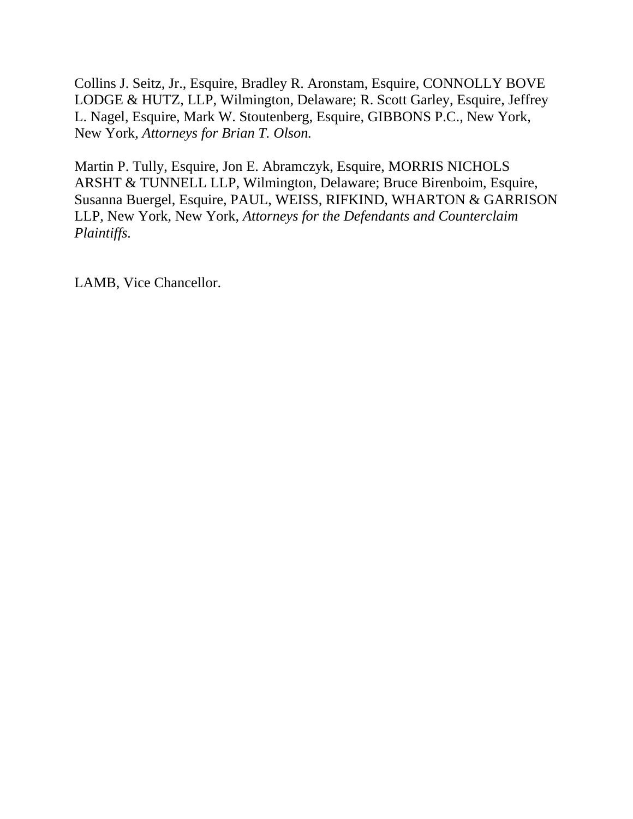Collins J. Seitz, Jr., Esquire, Bradley R. Aronstam, Esquire, CONNOLLY BOVE LODGE & HUTZ, LLP, Wilmington, Delaware; R. Scott Garley, Esquire, Jeffrey L. Nagel, Esquire, Mark W. Stoutenberg, Esquire, GIBBONS P.C., New York, New York, *Attorneys for Brian T. Olson.*

Martin P. Tully, Esquire, Jon E. Abramczyk, Esquire, MORRIS NICHOLS ARSHT & TUNNELL LLP, Wilmington, Delaware; Bruce Birenboim, Esquire, Susanna Buergel, Esquire, PAUL, WEISS, RIFKIND, WHARTON & GARRISON LLP, New York, New York, *Attorneys for the Defendants and Counterclaim Plaintiffs.*

LAMB, Vice Chancellor.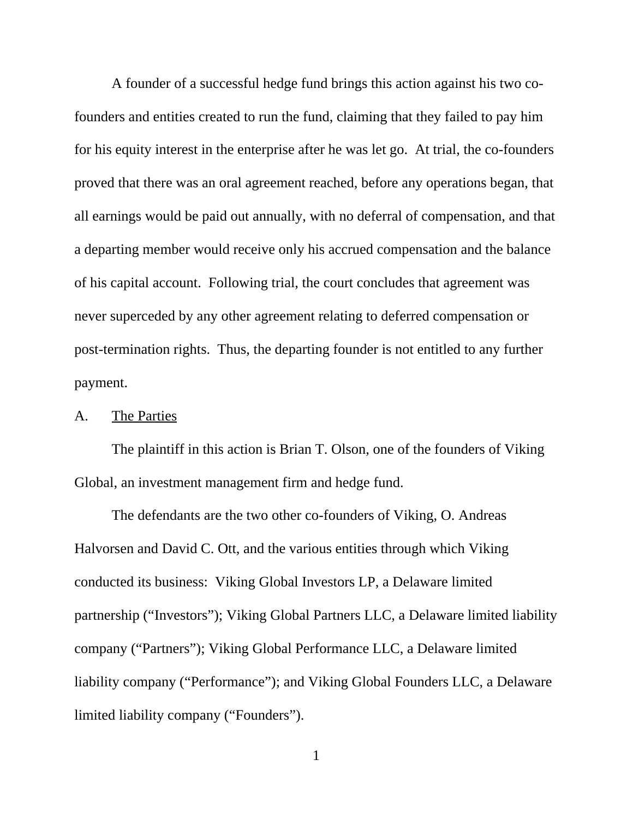A founder of a successful hedge fund brings this action against his two cofounders and entities created to run the fund, claiming that they failed to pay him for his equity interest in the enterprise after he was let go. At trial, the co-founders proved that there was an oral agreement reached, before any operations began, that all earnings would be paid out annually, with no deferral of compensation, and that a departing member would receive only his accrued compensation and the balance of his capital account. Following trial, the court concludes that agreement was never superceded by any other agreement relating to deferred compensation or post-termination rights. Thus, the departing founder is not entitled to any further payment.

#### A. The Parties

The plaintiff in this action is Brian T. Olson, one of the founders of Viking Global, an investment management firm and hedge fund.

The defendants are the two other co-founders of Viking, O. Andreas Halvorsen and David C. Ott, and the various entities through which Viking conducted its business: Viking Global Investors LP, a Delaware limited partnership ("Investors"); Viking Global Partners LLC, a Delaware limited liability company ("Partners"); Viking Global Performance LLC, a Delaware limited liability company ("Performance"); and Viking Global Founders LLC, a Delaware limited liability company ("Founders").

1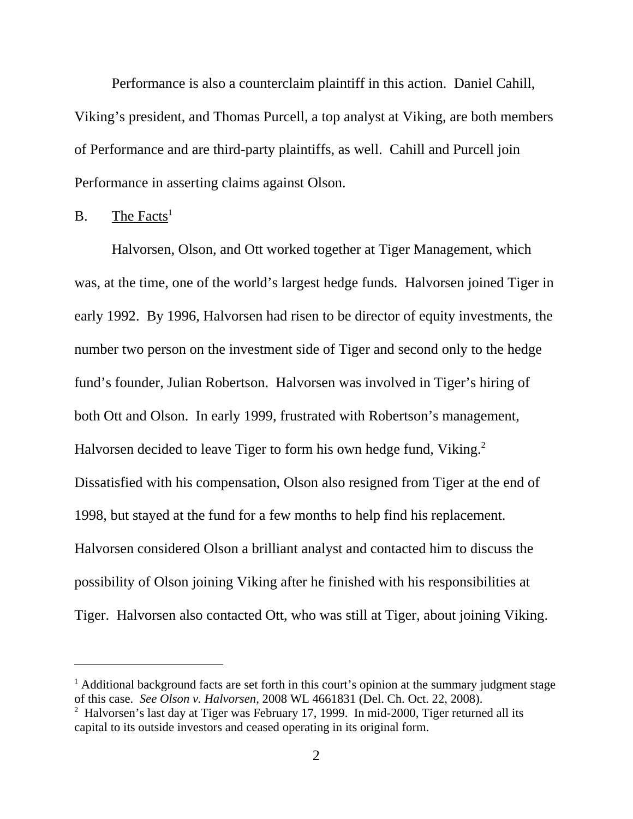Performance is also a counterclaim plaintiff in this action. Daniel Cahill, Viking's president, and Thomas Purcell, a top analyst at Viking, are both members of Performance and are third-party plaintiffs, as well. Cahill and Purcell join Performance in asserting claims against Olson.

#### $B.$  The Facts<sup>1</sup>

Halvorsen, Olson, and Ott worked together at Tiger Management, which was, at the time, one of the world's largest hedge funds. Halvorsen joined Tiger in early 1992. By 1996, Halvorsen had risen to be director of equity investments, the number two person on the investment side of Tiger and second only to the hedge fund's founder, Julian Robertson. Halvorsen was involved in Tiger's hiring of both Ott and Olson. In early 1999, frustrated with Robertson's management, Halvorsen decided to leave Tiger to form his own hedge fund, Viking.<sup>2</sup> Dissatisfied with his compensation, Olson also resigned from Tiger at the end of 1998, but stayed at the fund for a few months to help find his replacement. Halvorsen considered Olson a brilliant analyst and contacted him to discuss the possibility of Olson joining Viking after he finished with his responsibilities at Tiger. Halvorsen also contacted Ott, who was still at Tiger, about joining Viking.

<sup>&</sup>lt;sup>1</sup> Additional background facts are set forth in this court's opinion at the summary judgment stage of this case. *See Olson v. Halvorsen,* 2008 WL 4661831 (Del. Ch. Oct. 22, 2008).

<sup>&</sup>lt;sup>2</sup> Halvorsen's last day at Tiger was February 17, 1999. In mid-2000, Tiger returned all its capital to its outside investors and ceased operating in its original form.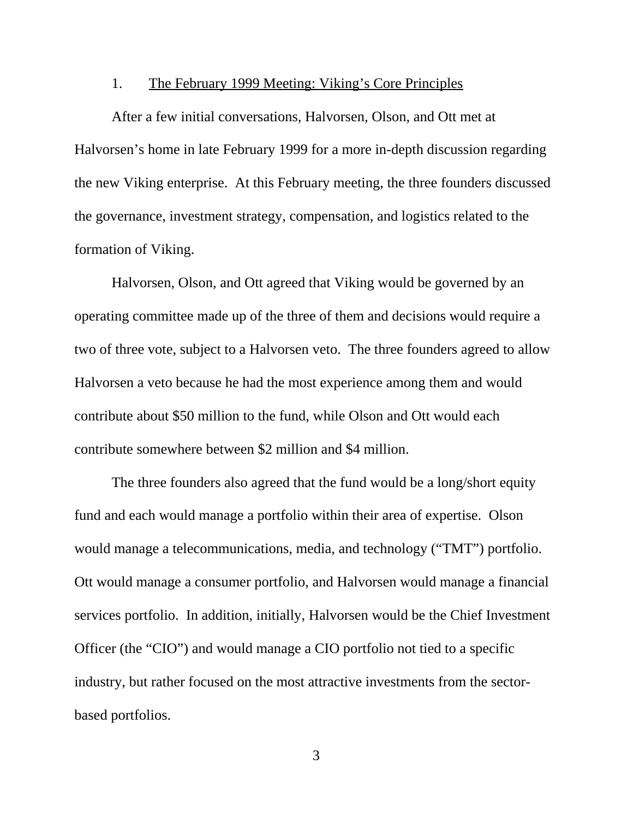#### 1. The February 1999 Meeting: Viking's Core Principles

After a few initial conversations, Halvorsen, Olson, and Ott met at Halvorsen's home in late February 1999 for a more in-depth discussion regarding the new Viking enterprise. At this February meeting, the three founders discussed the governance, investment strategy, compensation, and logistics related to the formation of Viking.

Halvorsen, Olson, and Ott agreed that Viking would be governed by an operating committee made up of the three of them and decisions would require a two of three vote, subject to a Halvorsen veto. The three founders agreed to allow Halvorsen a veto because he had the most experience among them and would contribute about \$50 million to the fund, while Olson and Ott would each contribute somewhere between \$2 million and \$4 million.

The three founders also agreed that the fund would be a long/short equity fund and each would manage a portfolio within their area of expertise. Olson would manage a telecommunications, media, and technology ("TMT") portfolio. Ott would manage a consumer portfolio, and Halvorsen would manage a financial services portfolio. In addition, initially, Halvorsen would be the Chief Investment Officer (the "CIO") and would manage a CIO portfolio not tied to a specific industry, but rather focused on the most attractive investments from the sectorbased portfolios.

3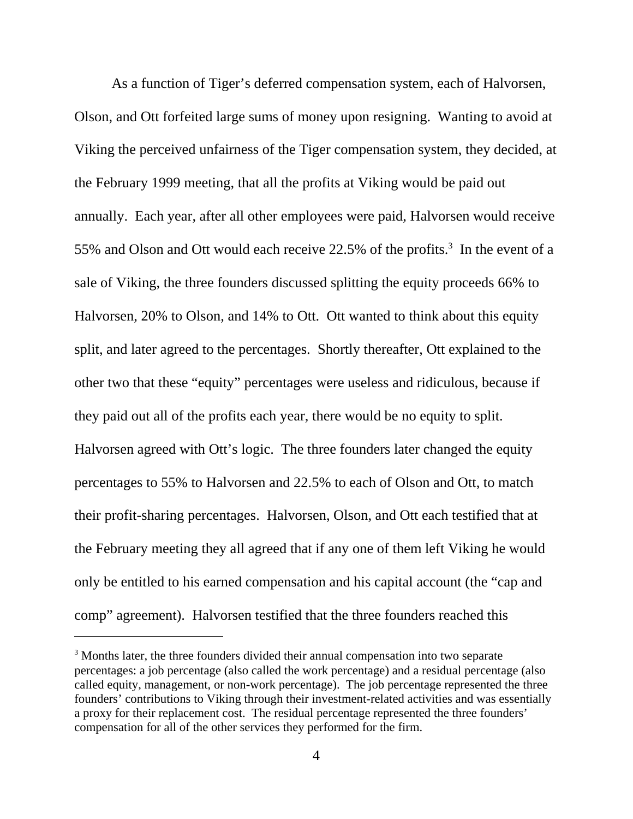As a function of Tiger's deferred compensation system, each of Halvorsen, Olson, and Ott forfeited large sums of money upon resigning. Wanting to avoid at Viking the perceived unfairness of the Tiger compensation system, they decided, at the February 1999 meeting, that all the profits at Viking would be paid out annually. Each year, after all other employees were paid, Halvorsen would receive 55% and Olson and Ott would each receive  $22.5%$  of the profits.<sup>3</sup> In the event of a sale of Viking, the three founders discussed splitting the equity proceeds 66% to Halvorsen, 20% to Olson, and 14% to Ott. Ott wanted to think about this equity split, and later agreed to the percentages. Shortly thereafter, Ott explained to the other two that these "equity" percentages were useless and ridiculous, because if they paid out all of the profits each year, there would be no equity to split. Halvorsen agreed with Ott's logic. The three founders later changed the equity percentages to 55% to Halvorsen and 22.5% to each of Olson and Ott, to match their profit-sharing percentages. Halvorsen, Olson, and Ott each testified that at the February meeting they all agreed that if any one of them left Viking he would only be entitled to his earned compensation and his capital account (the "cap and comp" agreement). Halvorsen testified that the three founders reached this

<sup>&</sup>lt;sup>3</sup> Months later, the three founders divided their annual compensation into two separate percentages: a job percentage (also called the work percentage) and a residual percentage (also called equity, management, or non-work percentage). The job percentage represented the three founders' contributions to Viking through their investment-related activities and was essentially a proxy for their replacement cost. The residual percentage represented the three founders' compensation for all of the other services they performed for the firm.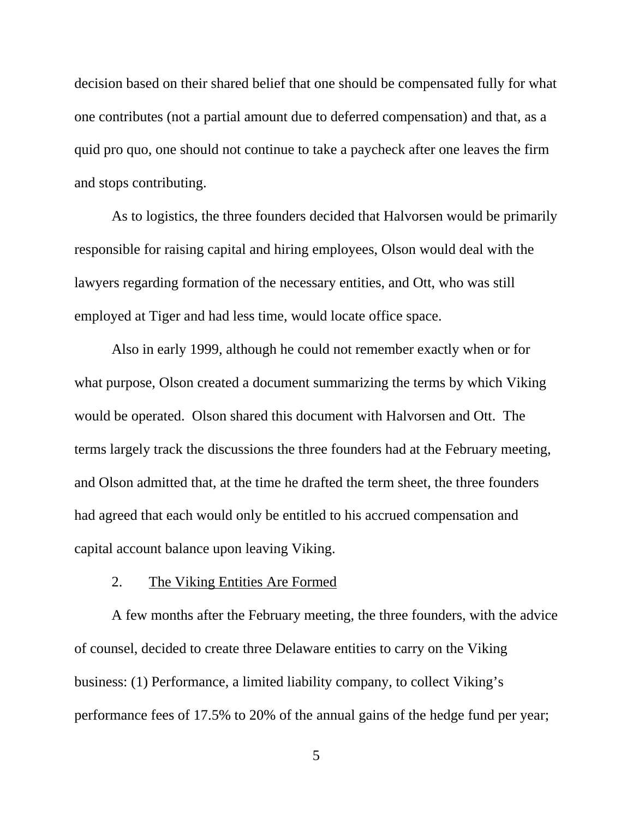decision based on their shared belief that one should be compensated fully for what one contributes (not a partial amount due to deferred compensation) and that, as a quid pro quo, one should not continue to take a paycheck after one leaves the firm and stops contributing.

As to logistics, the three founders decided that Halvorsen would be primarily responsible for raising capital and hiring employees, Olson would deal with the lawyers regarding formation of the necessary entities, and Ott, who was still employed at Tiger and had less time, would locate office space.

Also in early 1999, although he could not remember exactly when or for what purpose, Olson created a document summarizing the terms by which Viking would be operated. Olson shared this document with Halvorsen and Ott. The terms largely track the discussions the three founders had at the February meeting, and Olson admitted that, at the time he drafted the term sheet, the three founders had agreed that each would only be entitled to his accrued compensation and capital account balance upon leaving Viking.

#### 2. The Viking Entities Are Formed

A few months after the February meeting, the three founders, with the advice of counsel, decided to create three Delaware entities to carry on the Viking business: (1) Performance, a limited liability company, to collect Viking's performance fees of 17.5% to 20% of the annual gains of the hedge fund per year;

5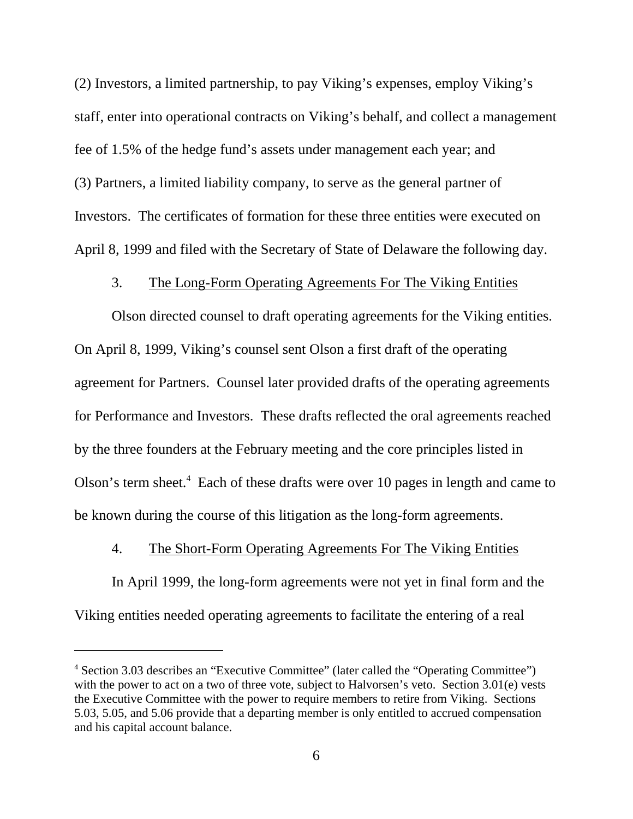(2) Investors, a limited partnership, to pay Viking's expenses, employ Viking's staff, enter into operational contracts on Viking's behalf, and collect a management fee of 1.5% of the hedge fund's assets under management each year; and (3) Partners, a limited liability company, to serve as the general partner of Investors. The certificates of formation for these three entities were executed on April 8, 1999 and filed with the Secretary of State of Delaware the following day.

## 3. The Long-Form Operating Agreements For The Viking Entities

Olson directed counsel to draft operating agreements for the Viking entities. On April 8, 1999, Viking's counsel sent Olson a first draft of the operating agreement for Partners. Counsel later provided drafts of the operating agreements for Performance and Investors. These drafts reflected the oral agreements reached by the three founders at the February meeting and the core principles listed in Olson's term sheet.<sup>4</sup> Each of these drafts were over 10 pages in length and came to be known during the course of this litigation as the long-form agreements.

## 4. The Short-Form Operating Agreements For The Viking Entities

In April 1999, the long-form agreements were not yet in final form and the Viking entities needed operating agreements to facilitate the entering of a real

<sup>&</sup>lt;sup>4</sup> Section 3.03 describes an "Executive Committee" (later called the "Operating Committee") with the power to act on a two of three vote, subject to Halvorsen's veto. Section 3.01(e) vests the Executive Committee with the power to require members to retire from Viking. Sections 5.03, 5.05, and 5.06 provide that a departing member is only entitled to accrued compensation and his capital account balance.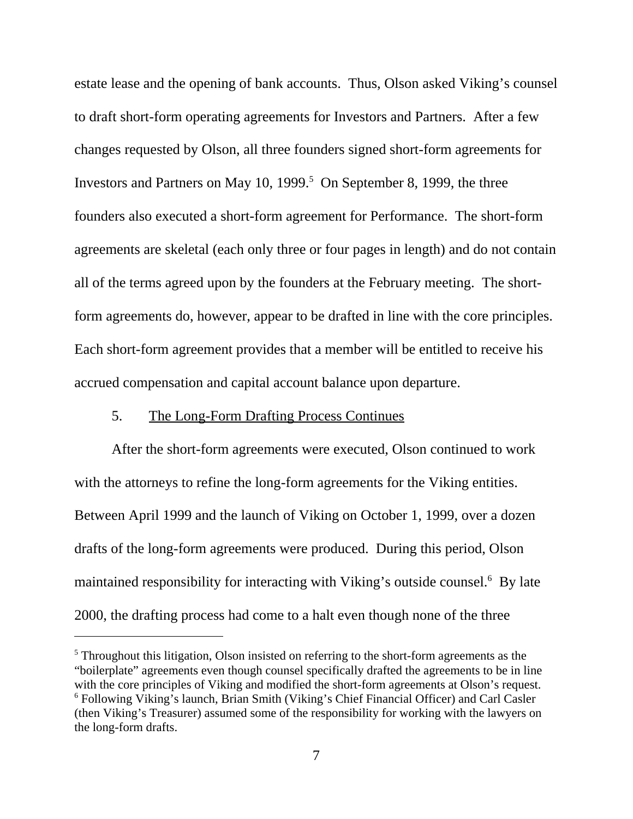estate lease and the opening of bank accounts. Thus, Olson asked Viking's counsel to draft short-form operating agreements for Investors and Partners. After a few changes requested by Olson, all three founders signed short-form agreements for Investors and Partners on May 10, 1999.<sup>5</sup> On September 8, 1999, the three founders also executed a short-form agreement for Performance. The short-form agreements are skeletal (each only three or four pages in length) and do not contain all of the terms agreed upon by the founders at the February meeting. The shortform agreements do, however, appear to be drafted in line with the core principles. Each short-form agreement provides that a member will be entitled to receive his accrued compensation and capital account balance upon departure.

## 5. The Long-Form Drafting Process Continues

After the short-form agreements were executed, Olson continued to work with the attorneys to refine the long-form agreements for the Viking entities. Between April 1999 and the launch of Viking on October 1, 1999, over a dozen drafts of the long-form agreements were produced. During this period, Olson maintained responsibility for interacting with Viking's outside counsel.<sup>6</sup> By late 2000, the drafting process had come to a halt even though none of the three

 $<sup>5</sup>$  Throughout this litigation, Olson insisted on referring to the short-form agreements as the</sup> "boilerplate" agreements even though counsel specifically drafted the agreements to be in line with the core principles of Viking and modified the short-form agreements at Olson's request. <sup>6</sup> Following Viking's launch, Brian Smith (Viking's Chief Financial Officer) and Carl Casler (then Viking's Treasurer) assumed some of the responsibility for working with the lawyers on the long-form drafts.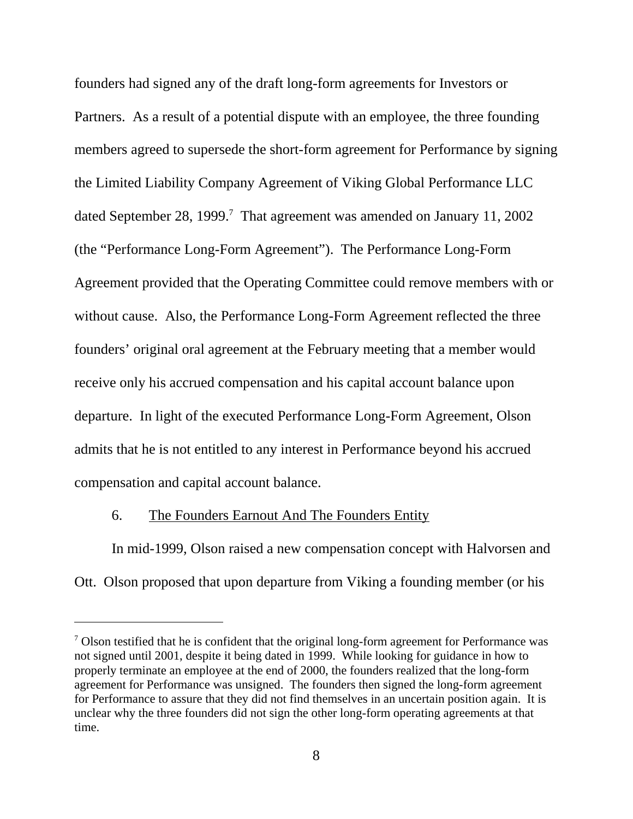founders had signed any of the draft long-form agreements for Investors or Partners. As a result of a potential dispute with an employee, the three founding members agreed to supersede the short-form agreement for Performance by signing the Limited Liability Company Agreement of Viking Global Performance LLC dated September 28, 1999.<sup>7</sup> That agreement was amended on January 11, 2002 (the "Performance Long-Form Agreement"). The Performance Long-Form Agreement provided that the Operating Committee could remove members with or without cause. Also, the Performance Long-Form Agreement reflected the three founders' original oral agreement at the February meeting that a member would receive only his accrued compensation and his capital account balance upon departure. In light of the executed Performance Long-Form Agreement, Olson admits that he is not entitled to any interest in Performance beyond his accrued compensation and capital account balance.

## 6. The Founders Earnout And The Founders Entity

In mid-1999, Olson raised a new compensation concept with Halvorsen and Ott. Olson proposed that upon departure from Viking a founding member (or his

<sup>&</sup>lt;sup>7</sup> Olson testified that he is confident that the original long-form agreement for Performance was not signed until 2001, despite it being dated in 1999. While looking for guidance in how to properly terminate an employee at the end of 2000, the founders realized that the long-form agreement for Performance was unsigned. The founders then signed the long-form agreement for Performance to assure that they did not find themselves in an uncertain position again. It is unclear why the three founders did not sign the other long-form operating agreements at that time.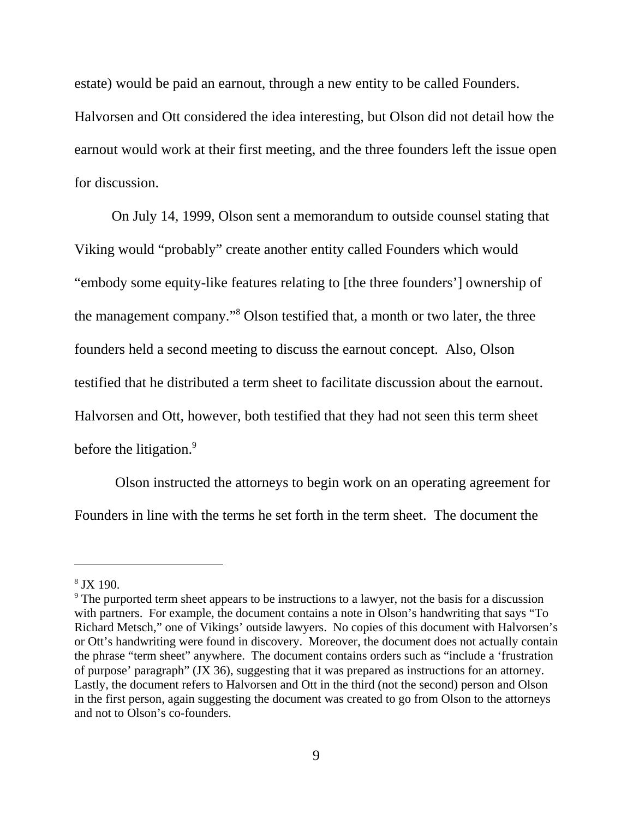estate) would be paid an earnout, through a new entity to be called Founders.

Halvorsen and Ott considered the idea interesting, but Olson did not detail how the earnout would work at their first meeting, and the three founders left the issue open for discussion.

On July 14, 1999, Olson sent a memorandum to outside counsel stating that Viking would "probably" create another entity called Founders which would "embody some equity-like features relating to [the three founders'] ownership of the management company."<sup>8</sup> Olson testified that, a month or two later, the three founders held a second meeting to discuss the earnout concept. Also, Olson testified that he distributed a term sheet to facilitate discussion about the earnout. Halvorsen and Ott, however, both testified that they had not seen this term sheet before the litigation.<sup>9</sup>

 Olson instructed the attorneys to begin work on an operating agreement for Founders in line with the terms he set forth in the term sheet. The document the

<sup>8</sup> JX 190.

<sup>&</sup>lt;sup>9</sup> The purported term sheet appears to be instructions to a lawyer, not the basis for a discussion with partners. For example, the document contains a note in Olson's handwriting that says "To Richard Metsch," one of Vikings' outside lawyers. No copies of this document with Halvorsen's or Ott's handwriting were found in discovery. Moreover, the document does not actually contain the phrase "term sheet" anywhere. The document contains orders such as "include a 'frustration of purpose' paragraph" (JX 36), suggesting that it was prepared as instructions for an attorney. Lastly, the document refers to Halvorsen and Ott in the third (not the second) person and Olson in the first person, again suggesting the document was created to go from Olson to the attorneys and not to Olson's co-founders.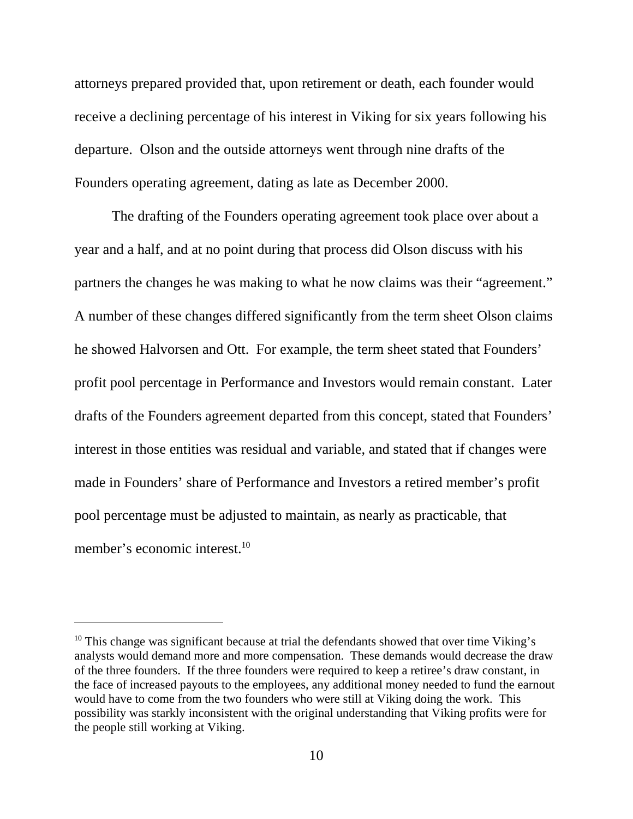attorneys prepared provided that, upon retirement or death, each founder would receive a declining percentage of his interest in Viking for six years following his departure. Olson and the outside attorneys went through nine drafts of the Founders operating agreement, dating as late as December 2000.

The drafting of the Founders operating agreement took place over about a year and a half, and at no point during that process did Olson discuss with his partners the changes he was making to what he now claims was their "agreement." A number of these changes differed significantly from the term sheet Olson claims he showed Halvorsen and Ott. For example, the term sheet stated that Founders' profit pool percentage in Performance and Investors would remain constant. Later drafts of the Founders agreement departed from this concept, stated that Founders' interest in those entities was residual and variable, and stated that if changes were made in Founders' share of Performance and Investors a retired member's profit pool percentage must be adjusted to maintain, as nearly as practicable, that member's economic interest.<sup>10</sup>

<sup>&</sup>lt;sup>10</sup> This change was significant because at trial the defendants showed that over time Viking's analysts would demand more and more compensation. These demands would decrease the draw of the three founders. If the three founders were required to keep a retiree's draw constant, in the face of increased payouts to the employees, any additional money needed to fund the earnout would have to come from the two founders who were still at Viking doing the work. This possibility was starkly inconsistent with the original understanding that Viking profits were for the people still working at Viking.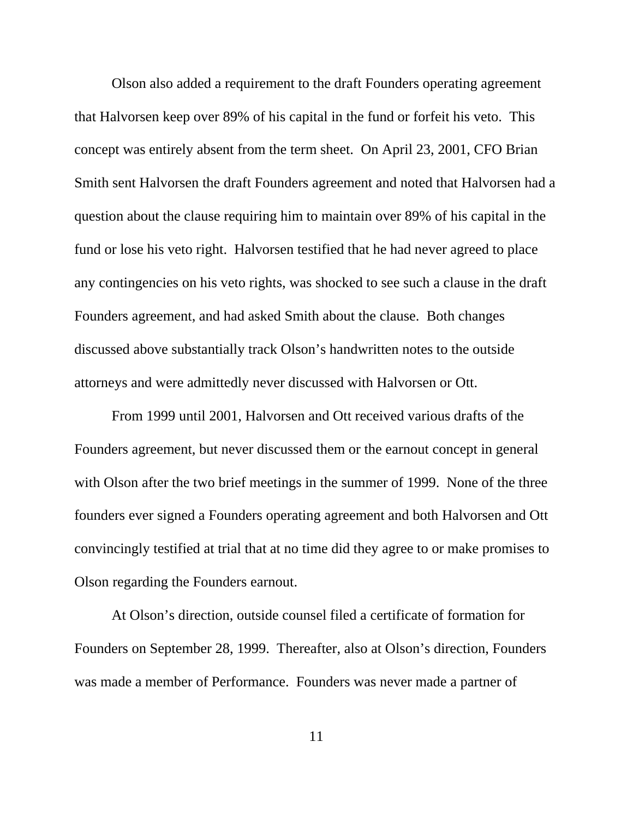Olson also added a requirement to the draft Founders operating agreement that Halvorsen keep over 89% of his capital in the fund or forfeit his veto. This concept was entirely absent from the term sheet. On April 23, 2001, CFO Brian Smith sent Halvorsen the draft Founders agreement and noted that Halvorsen had a question about the clause requiring him to maintain over 89% of his capital in the fund or lose his veto right. Halvorsen testified that he had never agreed to place any contingencies on his veto rights, was shocked to see such a clause in the draft Founders agreement, and had asked Smith about the clause. Both changes discussed above substantially track Olson's handwritten notes to the outside attorneys and were admittedly never discussed with Halvorsen or Ott.

From 1999 until 2001, Halvorsen and Ott received various drafts of the Founders agreement, but never discussed them or the earnout concept in general with Olson after the two brief meetings in the summer of 1999. None of the three founders ever signed a Founders operating agreement and both Halvorsen and Ott convincingly testified at trial that at no time did they agree to or make promises to Olson regarding the Founders earnout.

At Olson's direction, outside counsel filed a certificate of formation for Founders on September 28, 1999. Thereafter, also at Olson's direction, Founders was made a member of Performance. Founders was never made a partner of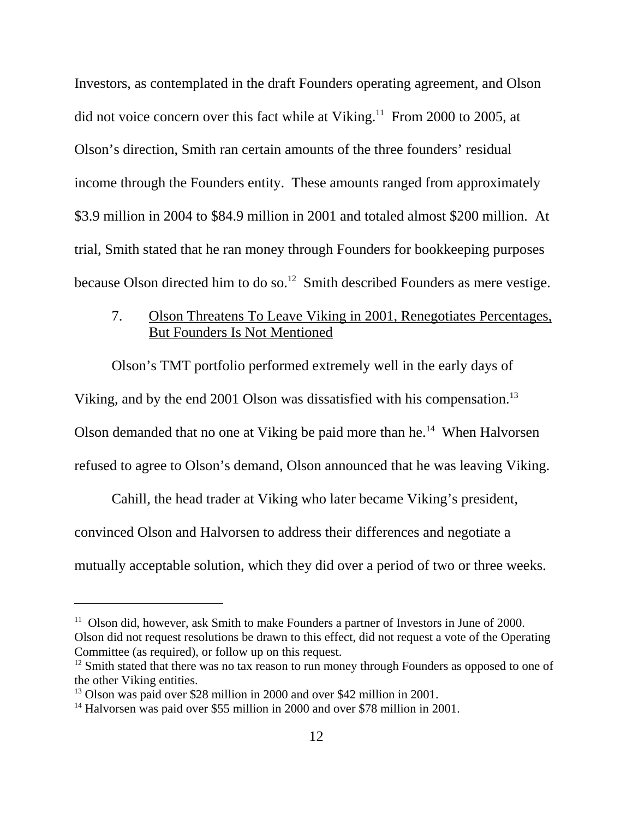Investors, as contemplated in the draft Founders operating agreement, and Olson did not voice concern over this fact while at Viking.<sup>11</sup> From 2000 to 2005, at Olson's direction, Smith ran certain amounts of the three founders' residual income through the Founders entity. These amounts ranged from approximately \$3.9 million in 2004 to \$84.9 million in 2001 and totaled almost \$200 million. At trial, Smith stated that he ran money through Founders for bookkeeping purposes because Olson directed him to do so.<sup>12</sup> Smith described Founders as mere vestige.

# 7. Olson Threatens To Leave Viking in 2001, Renegotiates Percentages, But Founders Is Not Mentioned

Olson's TMT portfolio performed extremely well in the early days of

Viking, and by the end 2001 Olson was dissatisfied with his compensation.<sup>13</sup>

Olson demanded that no one at Viking be paid more than he.<sup>14</sup> When Halvorsen

refused to agree to Olson's demand, Olson announced that he was leaving Viking.

Cahill, the head trader at Viking who later became Viking's president, convinced Olson and Halvorsen to address their differences and negotiate a mutually acceptable solution, which they did over a period of two or three weeks.

 $11$  Olson did, however, ask Smith to make Founders a partner of Investors in June of 2000. Olson did not request resolutions be drawn to this effect, did not request a vote of the Operating Committee (as required), or follow up on this request.

 $12$  Smith stated that there was no tax reason to run money through Founders as opposed to one of the other Viking entities.

<sup>&</sup>lt;sup>13</sup> Olson was paid over \$28 million in 2000 and over \$42 million in 2001.

<sup>&</sup>lt;sup>14</sup> Halvorsen was paid over \$55 million in 2000 and over \$78 million in 2001.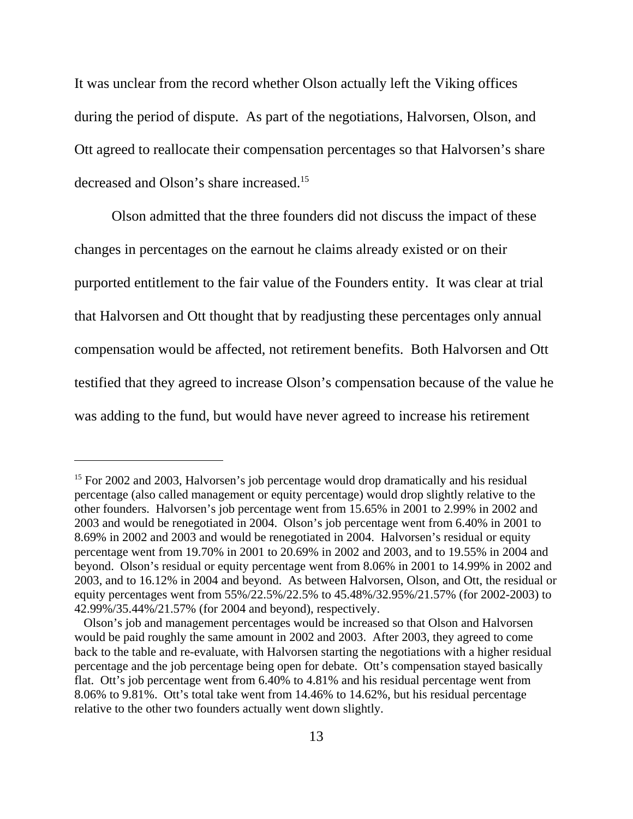It was unclear from the record whether Olson actually left the Viking offices during the period of dispute. As part of the negotiations, Halvorsen, Olson, and Ott agreed to reallocate their compensation percentages so that Halvorsen's share decreased and Olson's share increased.15

Olson admitted that the three founders did not discuss the impact of these changes in percentages on the earnout he claims already existed or on their purported entitlement to the fair value of the Founders entity. It was clear at trial that Halvorsen and Ott thought that by readjusting these percentages only annual compensation would be affected, not retirement benefits. Both Halvorsen and Ott testified that they agreed to increase Olson's compensation because of the value he was adding to the fund, but would have never agreed to increase his retirement

<sup>&</sup>lt;sup>15</sup> For 2002 and 2003, Halvorsen's job percentage would drop dramatically and his residual percentage (also called management or equity percentage) would drop slightly relative to the other founders. Halvorsen's job percentage went from 15.65% in 2001 to 2.99% in 2002 and 2003 and would be renegotiated in 2004. Olson's job percentage went from 6.40% in 2001 to 8.69% in 2002 and 2003 and would be renegotiated in 2004. Halvorsen's residual or equity percentage went from 19.70% in 2001 to 20.69% in 2002 and 2003, and to 19.55% in 2004 and beyond. Olson's residual or equity percentage went from 8.06% in 2001 to 14.99% in 2002 and 2003, and to 16.12% in 2004 and beyond. As between Halvorsen, Olson, and Ott, the residual or equity percentages went from 55%/22.5%/22.5% to 45.48%/32.95%/21.57% (for 2002-2003) to 42.99%/35.44%/21.57% (for 2004 and beyond), respectively.

Olson's job and management percentages would be increased so that Olson and Halvorsen would be paid roughly the same amount in 2002 and 2003. After 2003, they agreed to come back to the table and re-evaluate, with Halvorsen starting the negotiations with a higher residual percentage and the job percentage being open for debate. Ott's compensation stayed basically flat. Ott's job percentage went from 6.40% to 4.81% and his residual percentage went from 8.06% to 9.81%. Ott's total take went from 14.46% to 14.62%, but his residual percentage relative to the other two founders actually went down slightly.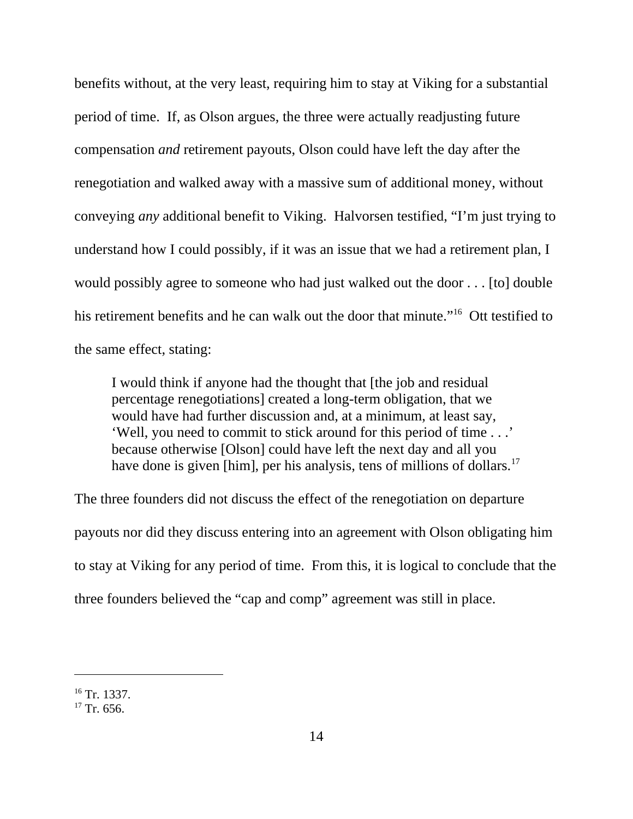benefits without, at the very least, requiring him to stay at Viking for a substantial period of time. If, as Olson argues, the three were actually readjusting future compensation *and* retirement payouts, Olson could have left the day after the renegotiation and walked away with a massive sum of additional money, without conveying *any* additional benefit to Viking. Halvorsen testified, "I'm just trying to understand how I could possibly, if it was an issue that we had a retirement plan, I would possibly agree to someone who had just walked out the door . . . [to] double his retirement benefits and he can walk out the door that minute."<sup>16</sup> Ott testified to the same effect, stating:

I would think if anyone had the thought that [the job and residual percentage renegotiations] created a long-term obligation, that we would have had further discussion and, at a minimum, at least say, 'Well, you need to commit to stick around for this period of time . . .' because otherwise [Olson] could have left the next day and all you have done is given [him], per his analysis, tens of millions of dollars.<sup>17</sup>

The three founders did not discuss the effect of the renegotiation on departure payouts nor did they discuss entering into an agreement with Olson obligating him to stay at Viking for any period of time. From this, it is logical to conclude that the three founders believed the "cap and comp" agreement was still in place.

<sup>&</sup>lt;sup>16</sup> Tr. 1337.

 $17$  Tr. 656.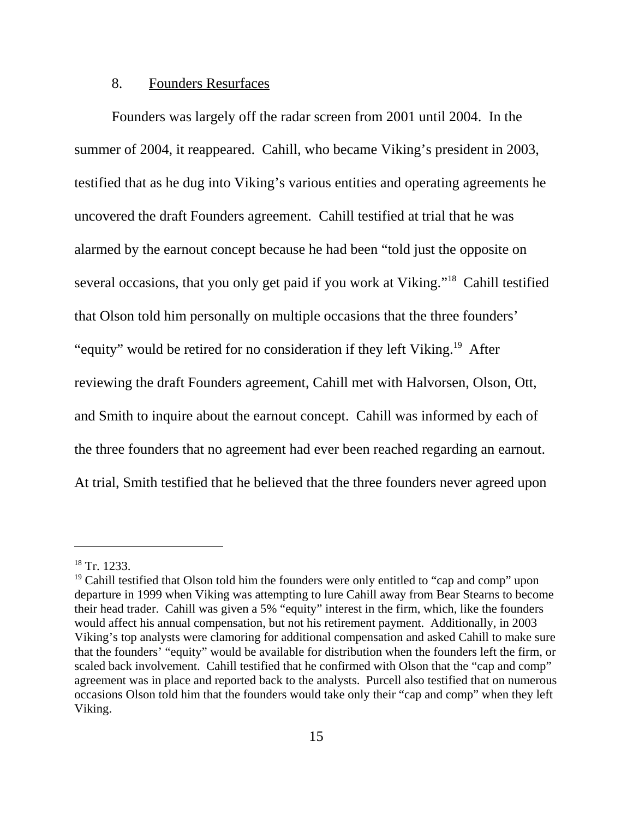### 8. Founders Resurfaces

Founders was largely off the radar screen from 2001 until 2004. In the summer of 2004, it reappeared. Cahill, who became Viking's president in 2003, testified that as he dug into Viking's various entities and operating agreements he uncovered the draft Founders agreement. Cahill testified at trial that he was alarmed by the earnout concept because he had been "told just the opposite on several occasions, that you only get paid if you work at Viking."18 Cahill testified that Olson told him personally on multiple occasions that the three founders' "equity" would be retired for no consideration if they left Viking.<sup>19</sup> After reviewing the draft Founders agreement, Cahill met with Halvorsen, Olson, Ott, and Smith to inquire about the earnout concept. Cahill was informed by each of the three founders that no agreement had ever been reached regarding an earnout. At trial, Smith testified that he believed that the three founders never agreed upon

 $18$  Tr. 1233.

 $19$  Cahill testified that Olson told him the founders were only entitled to "cap and comp" upon departure in 1999 when Viking was attempting to lure Cahill away from Bear Stearns to become their head trader. Cahill was given a 5% "equity" interest in the firm, which, like the founders would affect his annual compensation, but not his retirement payment. Additionally, in 2003 Viking's top analysts were clamoring for additional compensation and asked Cahill to make sure that the founders' "equity" would be available for distribution when the founders left the firm, or scaled back involvement. Cahill testified that he confirmed with Olson that the "cap and comp" agreement was in place and reported back to the analysts. Purcell also testified that on numerous occasions Olson told him that the founders would take only their "cap and comp" when they left Viking.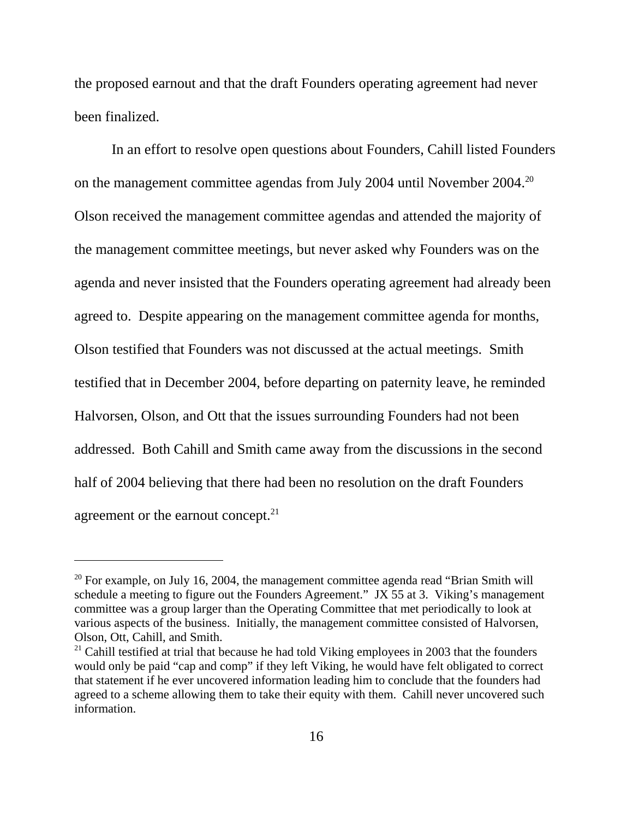the proposed earnout and that the draft Founders operating agreement had never been finalized.

In an effort to resolve open questions about Founders, Cahill listed Founders on the management committee agendas from July 2004 until November 2004.20 Olson received the management committee agendas and attended the majority of the management committee meetings, but never asked why Founders was on the agenda and never insisted that the Founders operating agreement had already been agreed to. Despite appearing on the management committee agenda for months, Olson testified that Founders was not discussed at the actual meetings. Smith testified that in December 2004, before departing on paternity leave, he reminded Halvorsen, Olson, and Ott that the issues surrounding Founders had not been addressed. Both Cahill and Smith came away from the discussions in the second half of 2004 believing that there had been no resolution on the draft Founders agreement or the earnout concept.<sup>21</sup>

 $20$  For example, on July 16, 2004, the management committee agenda read "Brian Smith will schedule a meeting to figure out the Founders Agreement." JX 55 at 3. Viking's management committee was a group larger than the Operating Committee that met periodically to look at various aspects of the business. Initially, the management committee consisted of Halvorsen, Olson, Ott, Cahill, and Smith.

 $21$  Cahill testified at trial that because he had told Viking employees in 2003 that the founders would only be paid "cap and comp" if they left Viking, he would have felt obligated to correct that statement if he ever uncovered information leading him to conclude that the founders had agreed to a scheme allowing them to take their equity with them. Cahill never uncovered such information.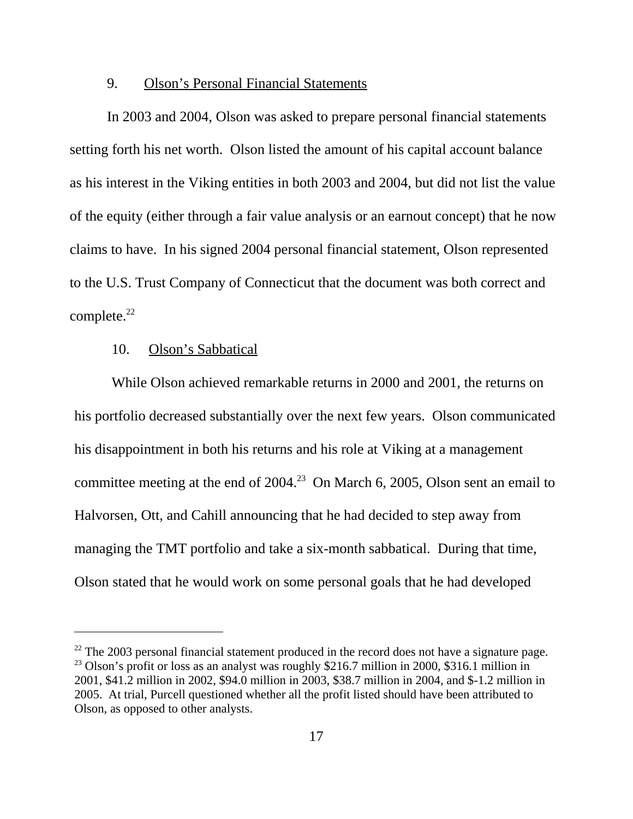### 9. Olson's Personal Financial Statements

In 2003 and 2004, Olson was asked to prepare personal financial statements setting forth his net worth. Olson listed the amount of his capital account balance as his interest in the Viking entities in both 2003 and 2004, but did not list the value of the equity (either through a fair value analysis or an earnout concept) that he now claims to have. In his signed 2004 personal financial statement, Olson represented to the U.S. Trust Company of Connecticut that the document was both correct and complete.<sup>22</sup>

## 10. Olson's Sabbatical

While Olson achieved remarkable returns in 2000 and 2001, the returns on his portfolio decreased substantially over the next few years. Olson communicated his disappointment in both his returns and his role at Viking at a management committee meeting at the end of  $2004<sup>23</sup>$  On March 6, 2005, Olson sent an email to Halvorsen, Ott, and Cahill announcing that he had decided to step away from managing the TMT portfolio and take a six-month sabbatical. During that time, Olson stated that he would work on some personal goals that he had developed

 $22$  The 2003 personal financial statement produced in the record does not have a signature page. <sup>23</sup> Olson's profit or loss as an analyst was roughly \$216.7 million in 2000, \$316.1 million in 2001, \$41.2 million in 2002, \$94.0 million in 2003, \$38.7 million in 2004, and \$-1.2 million in 2005. At trial, Purcell questioned whether all the profit listed should have been attributed to Olson, as opposed to other analysts.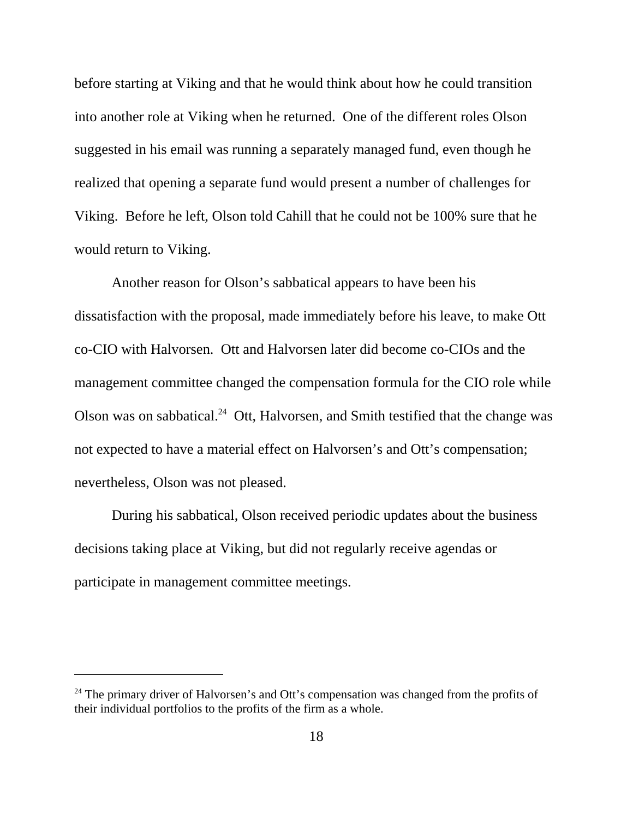before starting at Viking and that he would think about how he could transition into another role at Viking when he returned. One of the different roles Olson suggested in his email was running a separately managed fund, even though he realized that opening a separate fund would present a number of challenges for Viking. Before he left, Olson told Cahill that he could not be 100% sure that he would return to Viking.

Another reason for Olson's sabbatical appears to have been his dissatisfaction with the proposal, made immediately before his leave, to make Ott co-CIO with Halvorsen. Ott and Halvorsen later did become co-CIOs and the management committee changed the compensation formula for the CIO role while Olson was on sabbatical.<sup>24</sup> Ott, Halvorsen, and Smith testified that the change was not expected to have a material effect on Halvorsen's and Ott's compensation; nevertheless, Olson was not pleased.

During his sabbatical, Olson received periodic updates about the business decisions taking place at Viking, but did not regularly receive agendas or participate in management committee meetings.

 $24$  The primary driver of Halvorsen's and Ott's compensation was changed from the profits of their individual portfolios to the profits of the firm as a whole.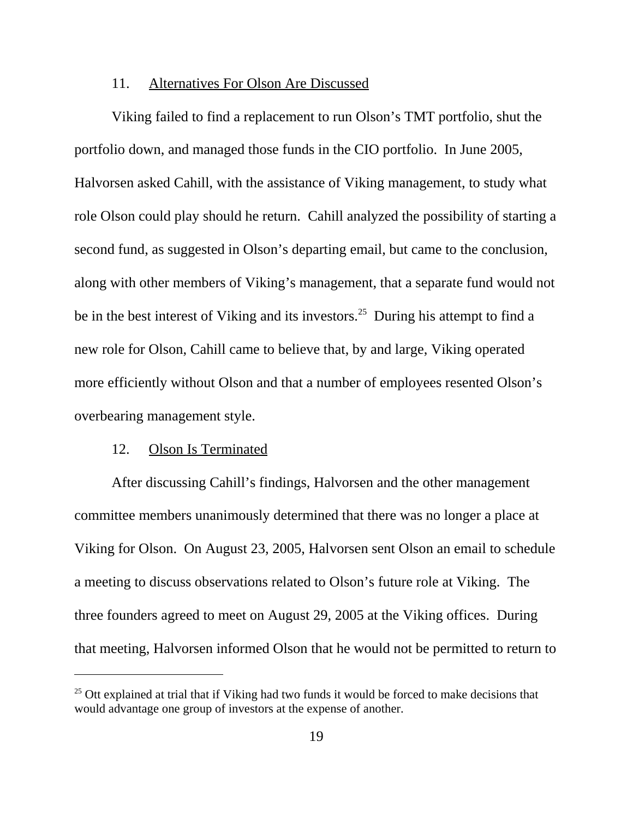#### 11. Alternatives For Olson Are Discussed

Viking failed to find a replacement to run Olson's TMT portfolio, shut the portfolio down, and managed those funds in the CIO portfolio. In June 2005, Halvorsen asked Cahill, with the assistance of Viking management, to study what role Olson could play should he return. Cahill analyzed the possibility of starting a second fund, as suggested in Olson's departing email, but came to the conclusion, along with other members of Viking's management, that a separate fund would not be in the best interest of Viking and its investors.<sup>25</sup> During his attempt to find a new role for Olson, Cahill came to believe that, by and large, Viking operated more efficiently without Olson and that a number of employees resented Olson's overbearing management style.

#### 12. Olson Is Terminated

After discussing Cahill's findings, Halvorsen and the other management committee members unanimously determined that there was no longer a place at Viking for Olson. On August 23, 2005, Halvorsen sent Olson an email to schedule a meeting to discuss observations related to Olson's future role at Viking. The three founders agreed to meet on August 29, 2005 at the Viking offices. During that meeting, Halvorsen informed Olson that he would not be permitted to return to

<sup>&</sup>lt;sup>25</sup> Ott explained at trial that if Viking had two funds it would be forced to make decisions that would advantage one group of investors at the expense of another.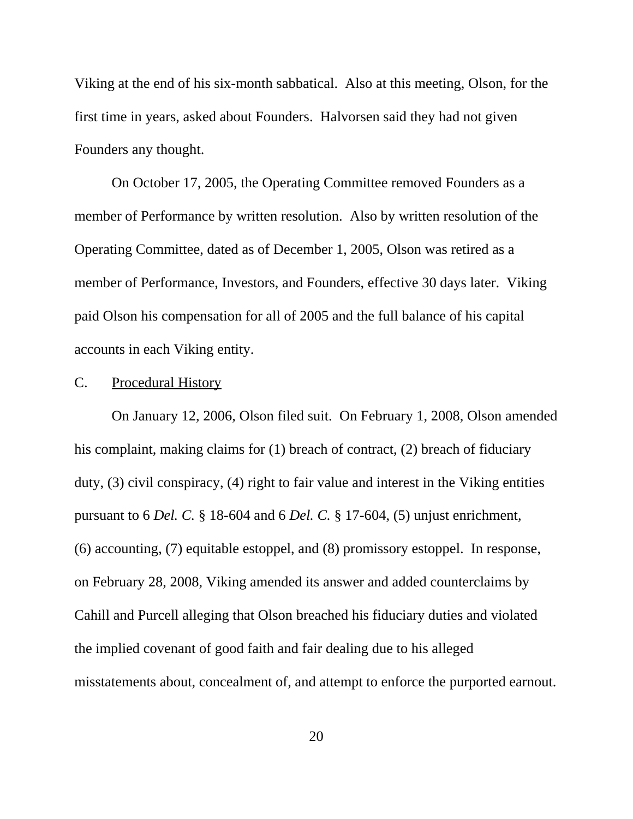Viking at the end of his six-month sabbatical. Also at this meeting, Olson, for the first time in years, asked about Founders. Halvorsen said they had not given Founders any thought.

On October 17, 2005, the Operating Committee removed Founders as a member of Performance by written resolution. Also by written resolution of the Operating Committee, dated as of December 1, 2005, Olson was retired as a member of Performance, Investors, and Founders, effective 30 days later. Viking paid Olson his compensation for all of 2005 and the full balance of his capital accounts in each Viking entity.

## C. Procedural History

On January 12, 2006, Olson filed suit. On February 1, 2008, Olson amended his complaint, making claims for (1) breach of contract, (2) breach of fiduciary duty, (3) civil conspiracy, (4) right to fair value and interest in the Viking entities pursuant to 6 *Del. C.* § 18-604 and 6 *Del. C.* § 17-604, (5) unjust enrichment, (6) accounting, (7) equitable estoppel, and (8) promissory estoppel. In response, on February 28, 2008, Viking amended its answer and added counterclaims by Cahill and Purcell alleging that Olson breached his fiduciary duties and violated the implied covenant of good faith and fair dealing due to his alleged misstatements about, concealment of, and attempt to enforce the purported earnout.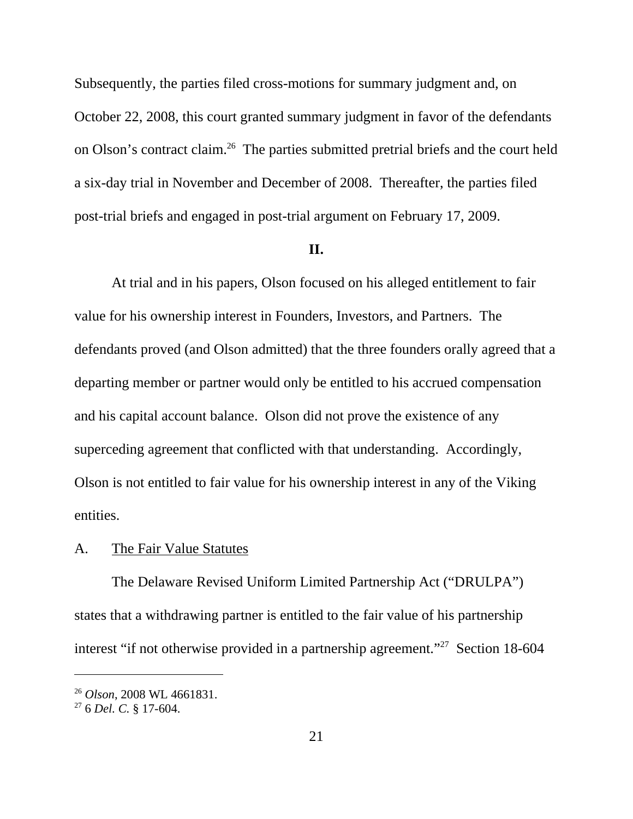Subsequently, the parties filed cross-motions for summary judgment and, on October 22, 2008, this court granted summary judgment in favor of the defendants on Olson's contract claim.26 The parties submitted pretrial briefs and the court held a six-day trial in November and December of 2008. Thereafter, the parties filed post-trial briefs and engaged in post-trial argument on February 17, 2009.

#### **II.**

At trial and in his papers, Olson focused on his alleged entitlement to fair value for his ownership interest in Founders, Investors, and Partners. The defendants proved (and Olson admitted) that the three founders orally agreed that a departing member or partner would only be entitled to his accrued compensation and his capital account balance. Olson did not prove the existence of any superceding agreement that conflicted with that understanding. Accordingly, Olson is not entitled to fair value for his ownership interest in any of the Viking entities.

#### A. The Fair Value Statutes

The Delaware Revised Uniform Limited Partnership Act ("DRULPA") states that a withdrawing partner is entitled to the fair value of his partnership interest "if not otherwise provided in a partnership agreement."<sup>27</sup> Section 18-604

<sup>26</sup> *Olson*, 2008 WL 4661831.

<sup>27 6</sup> *Del. C.* § 17-604.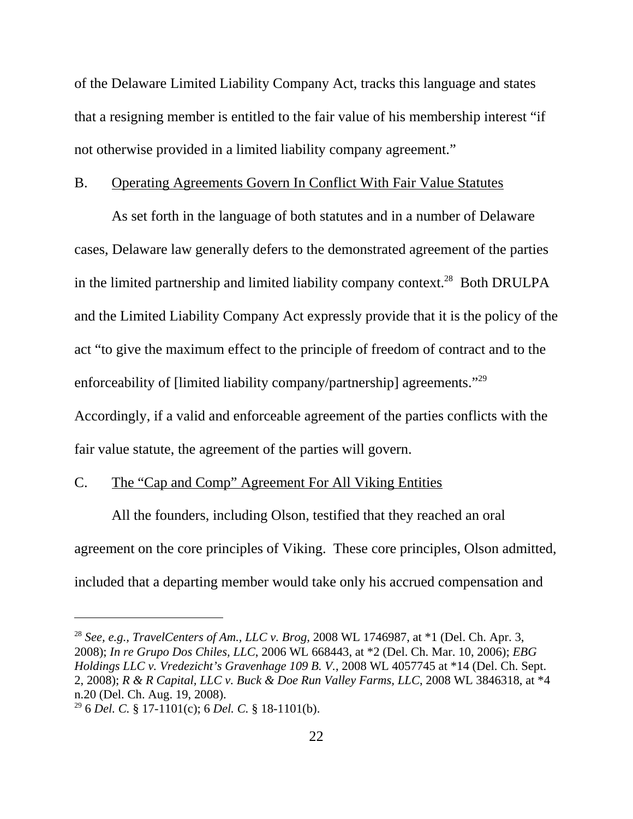of the Delaware Limited Liability Company Act, tracks this language and states that a resigning member is entitled to the fair value of his membership interest "if not otherwise provided in a limited liability company agreement."

### B. Operating Agreements Govern In Conflict With Fair Value Statutes

As set forth in the language of both statutes and in a number of Delaware cases, Delaware law generally defers to the demonstrated agreement of the parties in the limited partnership and limited liability company context.<sup>28</sup> Both DRULPA and the Limited Liability Company Act expressly provide that it is the policy of the act "to give the maximum effect to the principle of freedom of contract and to the enforceability of [limited liability company/partnership] agreements."29 Accordingly, if a valid and enforceable agreement of the parties conflicts with the

fair value statute, the agreement of the parties will govern.

## C. The "Cap and Comp" Agreement For All Viking Entities

All the founders, including Olson, testified that they reached an oral agreement on the core principles of Viking. These core principles, Olson admitted, included that a departing member would take only his accrued compensation and

<sup>28</sup> *See, e.g., TravelCenters of Am., LLC v. Brog,* 2008 WL 1746987, at \*1 (Del. Ch. Apr. 3, 2008); *In re Grupo Dos Chiles, LLC*, 2006 WL 668443, at \*2 (Del. Ch. Mar. 10, 2006); *EBG Holdings LLC v. Vredezicht's Gravenhage 109 B. V.*, 2008 WL 4057745 at \*14 (Del. Ch. Sept. 2, 2008); *R & R Capital, LLC v. Buck & Doe Run Valley Farms, LLC*, 2008 WL 3846318, at \*4 n.20 (Del. Ch. Aug. 19, 2008).

<sup>29 6</sup> *Del. C.* § 17-1101(c); 6 *Del. C.* § 18-1101(b).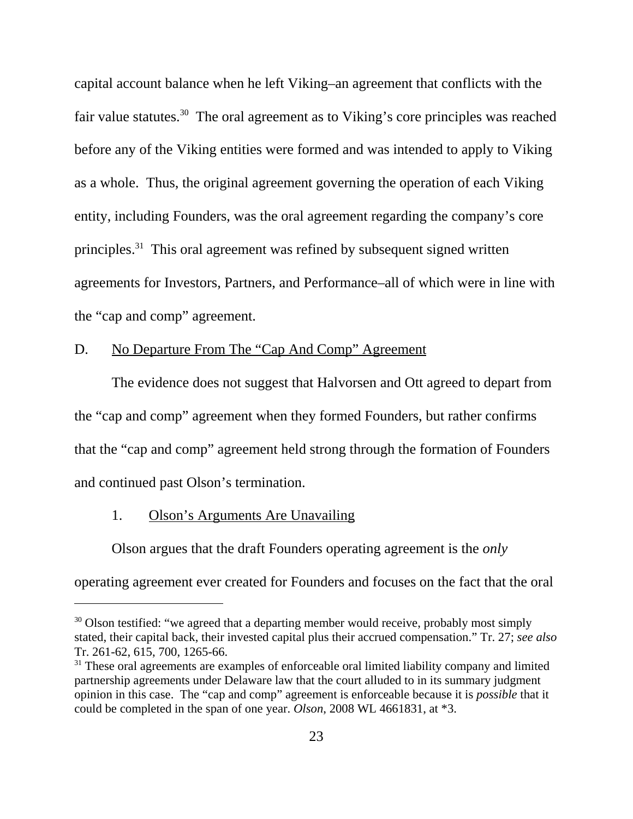capital account balance when he left Viking–an agreement that conflicts with the fair value statutes.<sup>30</sup> The oral agreement as to Viking's core principles was reached before any of the Viking entities were formed and was intended to apply to Viking as a whole. Thus, the original agreement governing the operation of each Viking entity, including Founders, was the oral agreement regarding the company's core principles.31 This oral agreement was refined by subsequent signed written agreements for Investors, Partners, and Performance–all of which were in line with the "cap and comp" agreement.

# D. No Departure From The "Cap And Comp" Agreement

The evidence does not suggest that Halvorsen and Ott agreed to depart from the "cap and comp" agreement when they formed Founders, but rather confirms that the "cap and comp" agreement held strong through the formation of Founders and continued past Olson's termination.

## 1. Olson's Arguments Are Unavailing

Olson argues that the draft Founders operating agreement is the *only* operating agreement ever created for Founders and focuses on the fact that the oral

<sup>&</sup>lt;sup>30</sup> Olson testified: "we agreed that a departing member would receive, probably most simply stated, their capital back, their invested capital plus their accrued compensation." Tr. 27; *see also* Tr. 261-62, 615, 700, 1265-66.

 $31$  These oral agreements are examples of enforceable oral limited liability company and limited partnership agreements under Delaware law that the court alluded to in its summary judgment opinion in this case. The "cap and comp" agreement is enforceable because it is *possible* that it could be completed in the span of one year. *Olson*, 2008 WL 4661831, at \*3.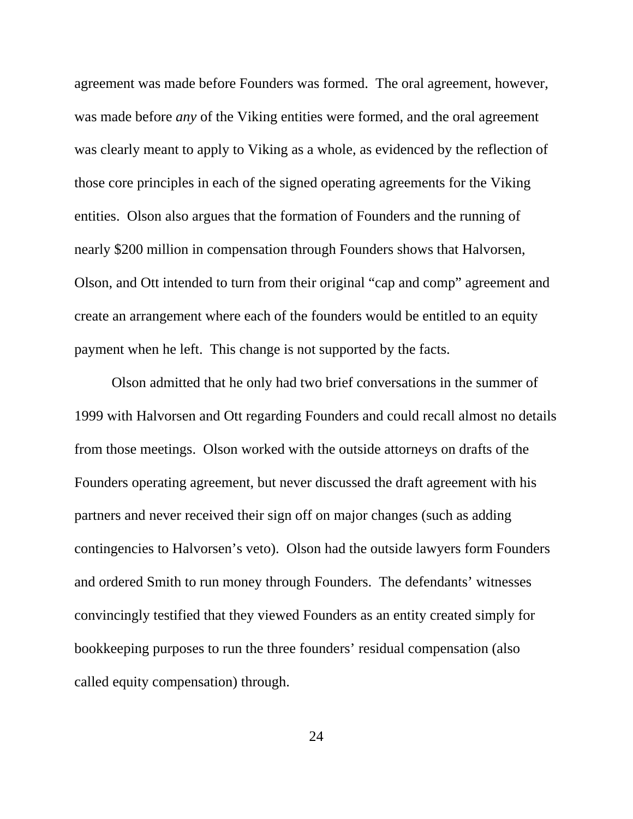agreement was made before Founders was formed. The oral agreement, however, was made before *any* of the Viking entities were formed, and the oral agreement was clearly meant to apply to Viking as a whole, as evidenced by the reflection of those core principles in each of the signed operating agreements for the Viking entities. Olson also argues that the formation of Founders and the running of nearly \$200 million in compensation through Founders shows that Halvorsen, Olson, and Ott intended to turn from their original "cap and comp" agreement and create an arrangement where each of the founders would be entitled to an equity payment when he left. This change is not supported by the facts.

Olson admitted that he only had two brief conversations in the summer of 1999 with Halvorsen and Ott regarding Founders and could recall almost no details from those meetings. Olson worked with the outside attorneys on drafts of the Founders operating agreement, but never discussed the draft agreement with his partners and never received their sign off on major changes (such as adding contingencies to Halvorsen's veto). Olson had the outside lawyers form Founders and ordered Smith to run money through Founders. The defendants' witnesses convincingly testified that they viewed Founders as an entity created simply for bookkeeping purposes to run the three founders' residual compensation (also called equity compensation) through.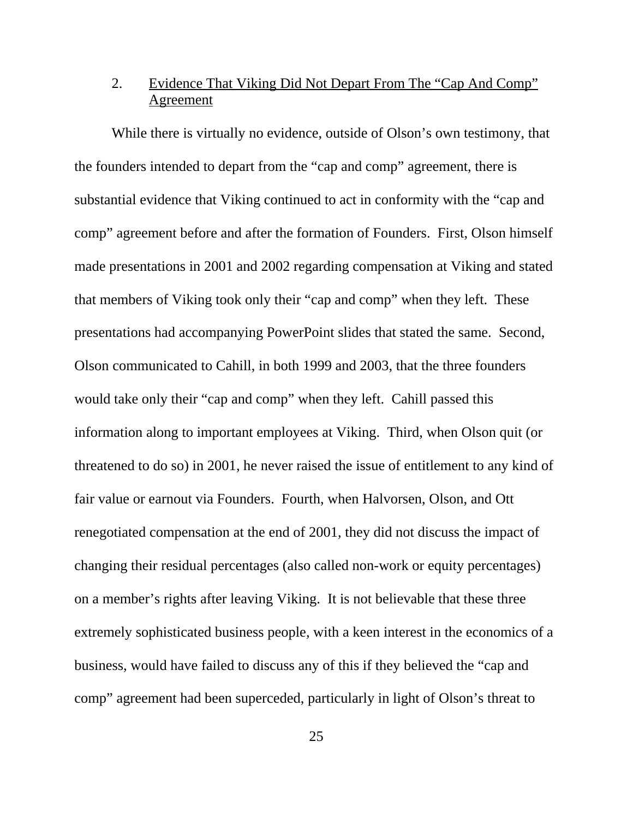# 2. Evidence That Viking Did Not Depart From The "Cap And Comp" Agreement

While there is virtually no evidence, outside of Olson's own testimony, that the founders intended to depart from the "cap and comp" agreement, there is substantial evidence that Viking continued to act in conformity with the "cap and comp" agreement before and after the formation of Founders. First, Olson himself made presentations in 2001 and 2002 regarding compensation at Viking and stated that members of Viking took only their "cap and comp" when they left. These presentations had accompanying PowerPoint slides that stated the same. Second, Olson communicated to Cahill, in both 1999 and 2003, that the three founders would take only their "cap and comp" when they left. Cahill passed this information along to important employees at Viking. Third, when Olson quit (or threatened to do so) in 2001, he never raised the issue of entitlement to any kind of fair value or earnout via Founders. Fourth, when Halvorsen, Olson, and Ott renegotiated compensation at the end of 2001, they did not discuss the impact of changing their residual percentages (also called non-work or equity percentages) on a member's rights after leaving Viking. It is not believable that these three extremely sophisticated business people, with a keen interest in the economics of a business, would have failed to discuss any of this if they believed the "cap and comp" agreement had been superceded, particularly in light of Olson's threat to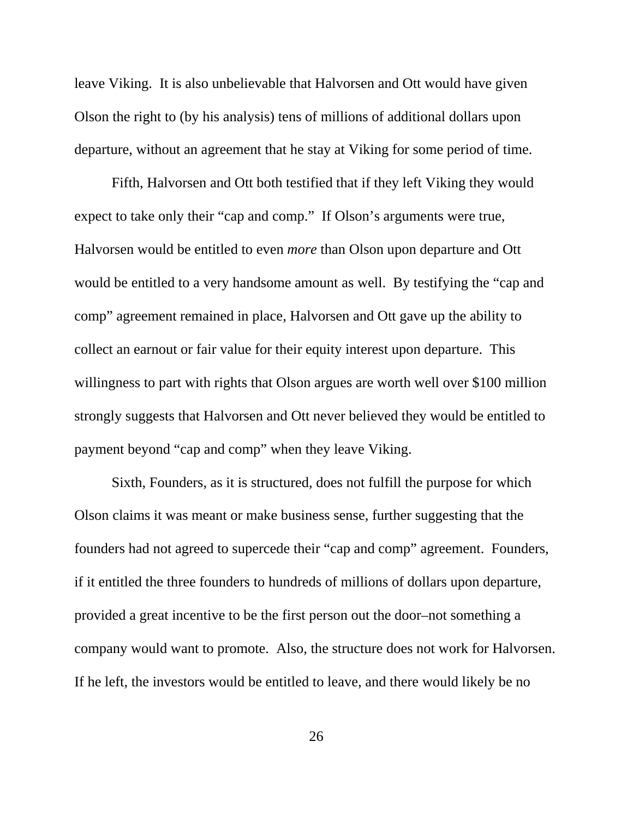leave Viking. It is also unbelievable that Halvorsen and Ott would have given Olson the right to (by his analysis) tens of millions of additional dollars upon departure, without an agreement that he stay at Viking for some period of time.

Fifth, Halvorsen and Ott both testified that if they left Viking they would expect to take only their "cap and comp." If Olson's arguments were true, Halvorsen would be entitled to even *more* than Olson upon departure and Ott would be entitled to a very handsome amount as well. By testifying the "cap and comp" agreement remained in place, Halvorsen and Ott gave up the ability to collect an earnout or fair value for their equity interest upon departure. This willingness to part with rights that Olson argues are worth well over \$100 million strongly suggests that Halvorsen and Ott never believed they would be entitled to payment beyond "cap and comp" when they leave Viking.

Sixth, Founders, as it is structured, does not fulfill the purpose for which Olson claims it was meant or make business sense, further suggesting that the founders had not agreed to supercede their "cap and comp" agreement. Founders, if it entitled the three founders to hundreds of millions of dollars upon departure, provided a great incentive to be the first person out the door–not something a company would want to promote. Also, the structure does not work for Halvorsen. If he left, the investors would be entitled to leave, and there would likely be no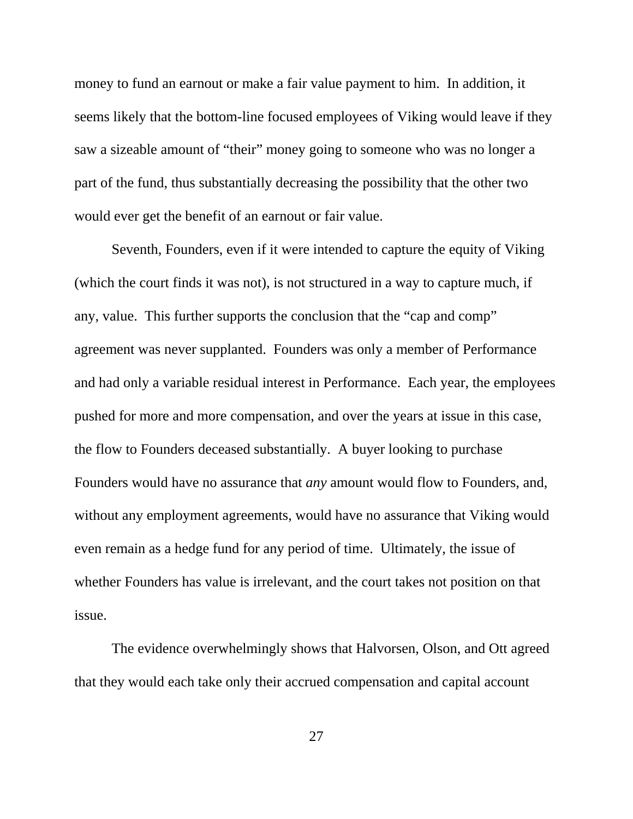money to fund an earnout or make a fair value payment to him. In addition, it seems likely that the bottom-line focused employees of Viking would leave if they saw a sizeable amount of "their" money going to someone who was no longer a part of the fund, thus substantially decreasing the possibility that the other two would ever get the benefit of an earnout or fair value.

Seventh, Founders, even if it were intended to capture the equity of Viking (which the court finds it was not), is not structured in a way to capture much, if any, value. This further supports the conclusion that the "cap and comp" agreement was never supplanted. Founders was only a member of Performance and had only a variable residual interest in Performance. Each year, the employees pushed for more and more compensation, and over the years at issue in this case, the flow to Founders deceased substantially. A buyer looking to purchase Founders would have no assurance that *any* amount would flow to Founders, and, without any employment agreements, would have no assurance that Viking would even remain as a hedge fund for any period of time. Ultimately, the issue of whether Founders has value is irrelevant, and the court takes not position on that issue.

The evidence overwhelmingly shows that Halvorsen, Olson, and Ott agreed that they would each take only their accrued compensation and capital account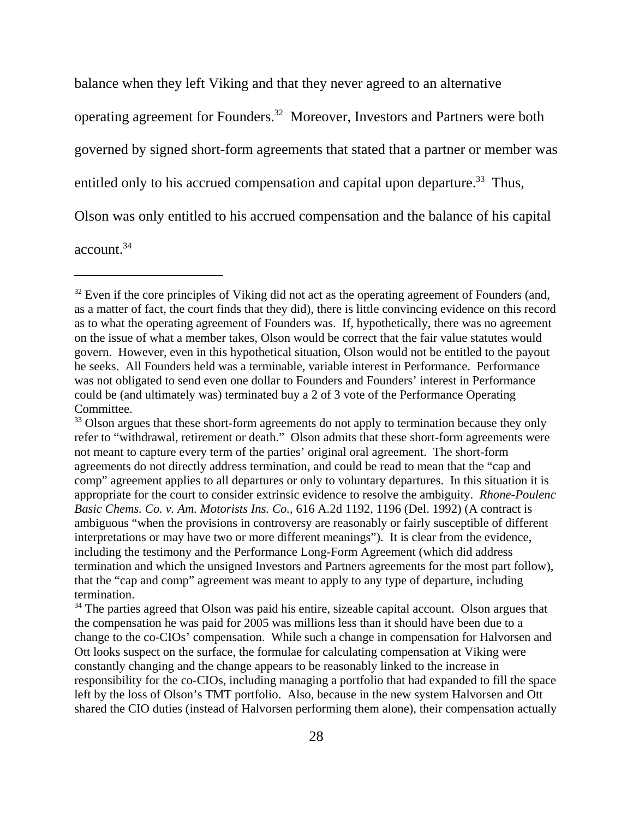balance when they left Viking and that they never agreed to an alternative operating agreement for Founders.32 Moreover, Investors and Partners were both governed by signed short-form agreements that stated that a partner or member was entitled only to his accrued compensation and capital upon departure.<sup>33</sup> Thus, Olson was only entitled to his accrued compensation and the balance of his capital account.34

<sup>&</sup>lt;sup>32</sup> Even if the core principles of Viking did not act as the operating agreement of Founders (and, as a matter of fact, the court finds that they did), there is little convincing evidence on this record as to what the operating agreement of Founders was. If, hypothetically, there was no agreement on the issue of what a member takes, Olson would be correct that the fair value statutes would govern. However, even in this hypothetical situation, Olson would not be entitled to the payout he seeks. All Founders held was a terminable, variable interest in Performance. Performance was not obligated to send even one dollar to Founders and Founders' interest in Performance could be (and ultimately was) terminated buy a 2 of 3 vote of the Performance Operating Committee.

<sup>&</sup>lt;sup>33</sup> Olson argues that these short-form agreements do not apply to termination because they only refer to "withdrawal, retirement or death." Olson admits that these short-form agreements were not meant to capture every term of the parties' original oral agreement. The short-form agreements do not directly address termination, and could be read to mean that the "cap and comp" agreement applies to all departures or only to voluntary departures. In this situation it is appropriate for the court to consider extrinsic evidence to resolve the ambiguity. *Rhone-Poulenc Basic Chems. Co. v. Am. Motorists Ins. Co.*, 616 A.2d 1192, 1196 (Del. 1992) (A contract is ambiguous "when the provisions in controversy are reasonably or fairly susceptible of different interpretations or may have two or more different meanings"). It is clear from the evidence, including the testimony and the Performance Long-Form Agreement (which did address termination and which the unsigned Investors and Partners agreements for the most part follow), that the "cap and comp" agreement was meant to apply to any type of departure, including termination.

<sup>&</sup>lt;sup>34</sup> The parties agreed that Olson was paid his entire, sizeable capital account. Olson argues that the compensation he was paid for 2005 was millions less than it should have been due to a change to the co-CIOs' compensation. While such a change in compensation for Halvorsen and Ott looks suspect on the surface, the formulae for calculating compensation at Viking were constantly changing and the change appears to be reasonably linked to the increase in responsibility for the co-CIOs, including managing a portfolio that had expanded to fill the space left by the loss of Olson's TMT portfolio. Also, because in the new system Halvorsen and Ott shared the CIO duties (instead of Halvorsen performing them alone), their compensation actually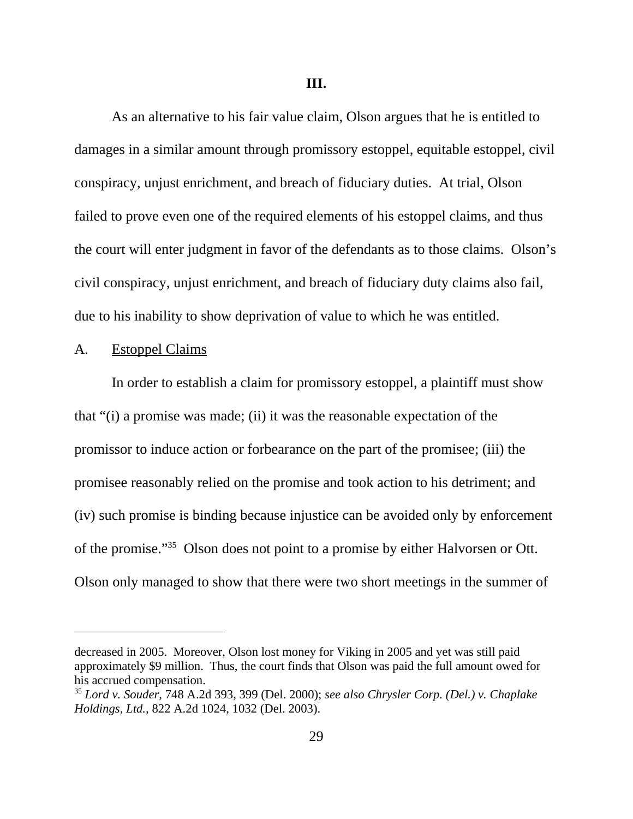As an alternative to his fair value claim, Olson argues that he is entitled to damages in a similar amount through promissory estoppel, equitable estoppel, civil conspiracy, unjust enrichment, and breach of fiduciary duties. At trial, Olson failed to prove even one of the required elements of his estoppel claims, and thus the court will enter judgment in favor of the defendants as to those claims. Olson's civil conspiracy, unjust enrichment, and breach of fiduciary duty claims also fail, due to his inability to show deprivation of value to which he was entitled.

#### A. Estoppel Claims

In order to establish a claim for promissory estoppel, a plaintiff must show that "(i) a promise was made; (ii) it was the reasonable expectation of the promissor to induce action or forbearance on the part of the promisee; (iii) the promisee reasonably relied on the promise and took action to his detriment; and (iv) such promise is binding because injustice can be avoided only by enforcement of the promise."35 Olson does not point to a promise by either Halvorsen or Ott. Olson only managed to show that there were two short meetings in the summer of

decreased in 2005. Moreover, Olson lost money for Viking in 2005 and yet was still paid approximately \$9 million. Thus, the court finds that Olson was paid the full amount owed for his accrued compensation.

<sup>35</sup> *Lord v. Souder*, 748 A.2d 393, 399 (Del. 2000); *see also Chrysler Corp. (Del.) v. Chaplake Holdings, Ltd.,* 822 A.2d 1024, 1032 (Del. 2003).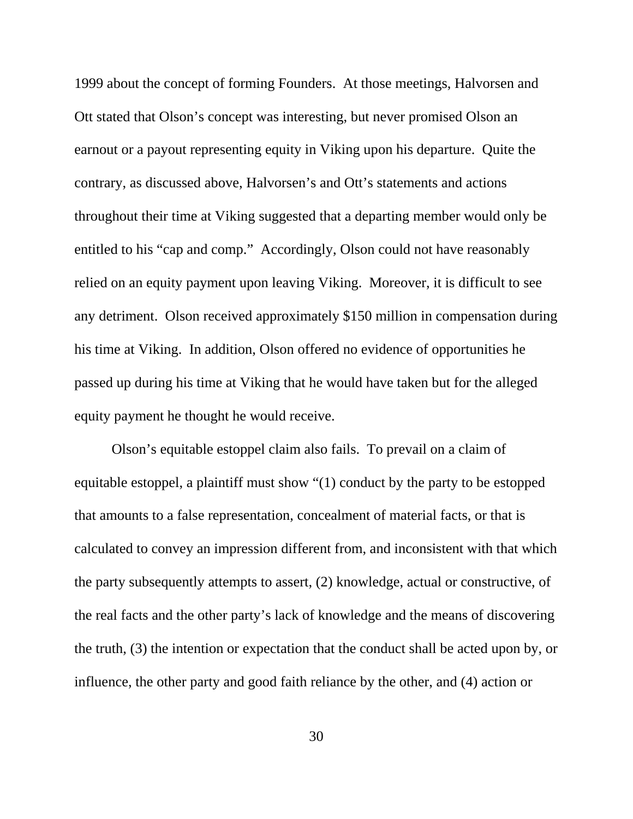1999 about the concept of forming Founders. At those meetings, Halvorsen and Ott stated that Olson's concept was interesting, but never promised Olson an earnout or a payout representing equity in Viking upon his departure. Quite the contrary, as discussed above, Halvorsen's and Ott's statements and actions throughout their time at Viking suggested that a departing member would only be entitled to his "cap and comp." Accordingly, Olson could not have reasonably relied on an equity payment upon leaving Viking. Moreover, it is difficult to see any detriment. Olson received approximately \$150 million in compensation during his time at Viking. In addition, Olson offered no evidence of opportunities he passed up during his time at Viking that he would have taken but for the alleged equity payment he thought he would receive.

Olson's equitable estoppel claim also fails. To prevail on a claim of equitable estoppel, a plaintiff must show "(1) conduct by the party to be estopped that amounts to a false representation, concealment of material facts, or that is calculated to convey an impression different from, and inconsistent with that which the party subsequently attempts to assert, (2) knowledge, actual or constructive, of the real facts and the other party's lack of knowledge and the means of discovering the truth, (3) the intention or expectation that the conduct shall be acted upon by, or influence, the other party and good faith reliance by the other, and (4) action or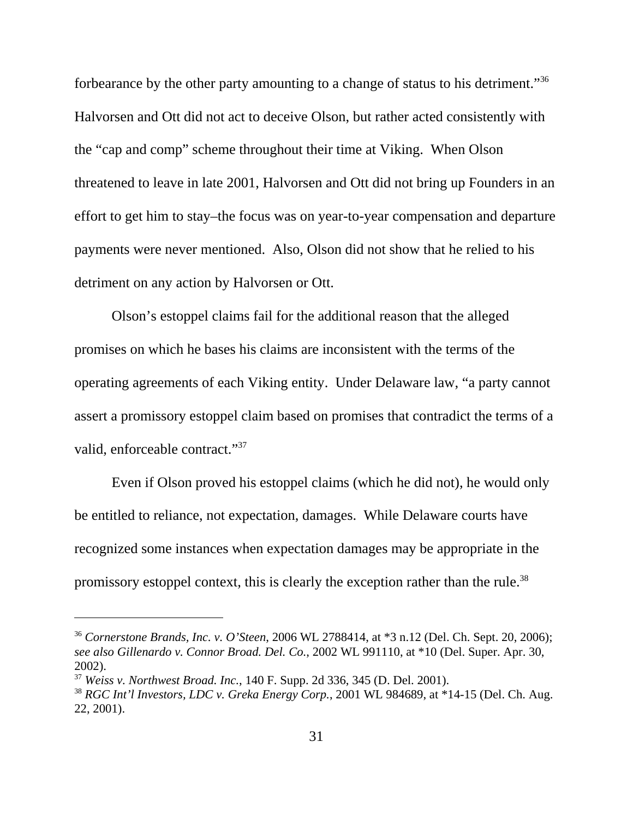forbearance by the other party amounting to a change of status to his detriment."36 Halvorsen and Ott did not act to deceive Olson, but rather acted consistently with the "cap and comp" scheme throughout their time at Viking. When Olson threatened to leave in late 2001, Halvorsen and Ott did not bring up Founders in an effort to get him to stay–the focus was on year-to-year compensation and departure payments were never mentioned. Also, Olson did not show that he relied to his detriment on any action by Halvorsen or Ott.

Olson's estoppel claims fail for the additional reason that the alleged promises on which he bases his claims are inconsistent with the terms of the operating agreements of each Viking entity. Under Delaware law, "a party cannot assert a promissory estoppel claim based on promises that contradict the terms of a valid, enforceable contract."<sup>37</sup>

Even if Olson proved his estoppel claims (which he did not), he would only be entitled to reliance, not expectation, damages. While Delaware courts have recognized some instances when expectation damages may be appropriate in the promissory estoppel context, this is clearly the exception rather than the rule.<sup>38</sup>

<sup>36</sup> *Cornerstone Brands, Inc. v. O'Steen*, 2006 WL 2788414, at \*3 n.12 (Del. Ch. Sept. 20, 2006); *see also Gillenardo v. Connor Broad. Del. Co.*, 2002 WL 991110, at \*10 (Del. Super. Apr. 30, 2002).

<sup>37</sup> *Weiss v. Northwest Broad. Inc.*, 140 F. Supp. 2d 336, 345 (D. Del. 2001).

<sup>38</sup> *RGC Int'l Investors, LDC v. Greka Energy Corp.*, 2001 WL 984689, at \*14-15 (Del. Ch. Aug. 22, 2001).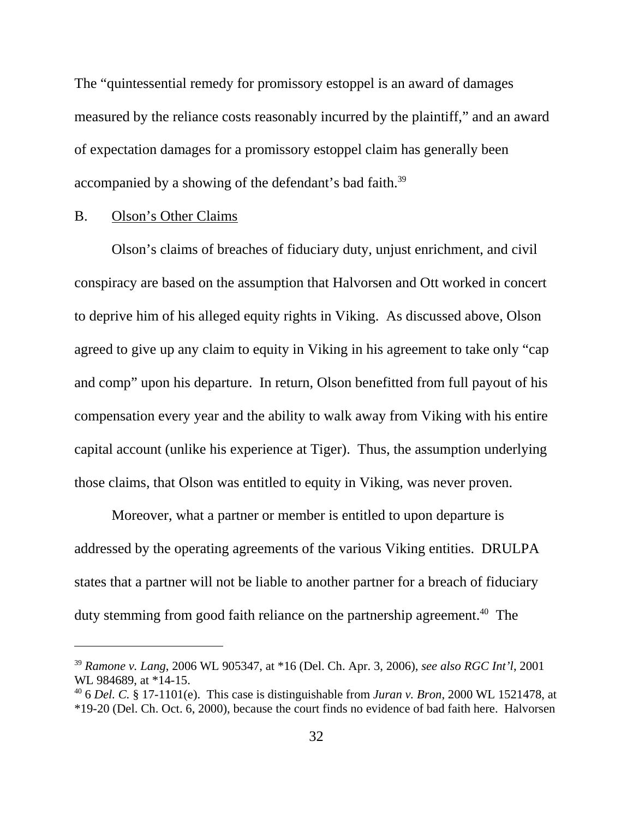The "quintessential remedy for promissory estoppel is an award of damages measured by the reliance costs reasonably incurred by the plaintiff," and an award of expectation damages for a promissory estoppel claim has generally been accompanied by a showing of the defendant's bad faith.<sup>39</sup>

### B. Olson's Other Claims

Olson's claims of breaches of fiduciary duty, unjust enrichment, and civil conspiracy are based on the assumption that Halvorsen and Ott worked in concert to deprive him of his alleged equity rights in Viking. As discussed above, Olson agreed to give up any claim to equity in Viking in his agreement to take only "cap and comp" upon his departure. In return, Olson benefitted from full payout of his compensation every year and the ability to walk away from Viking with his entire capital account (unlike his experience at Tiger). Thus, the assumption underlying those claims, that Olson was entitled to equity in Viking, was never proven.

Moreover, what a partner or member is entitled to upon departure is addressed by the operating agreements of the various Viking entities. DRULPA states that a partner will not be liable to another partner for a breach of fiduciary duty stemming from good faith reliance on the partnership agreement.<sup>40</sup> The

<sup>39</sup> *Ramone v. Lang*, 2006 WL 905347, at \*16 (Del. Ch. Apr. 3, 2006), *see also RGC Int'l*, 2001 WL 984689, at \*14-15.

<sup>40 6</sup> *Del. C.* § 17-1101(e). This case is distinguishable from *Juran v. Bron*, 2000 WL 1521478, at \*19-20 (Del. Ch. Oct. 6, 2000), because the court finds no evidence of bad faith here. Halvorsen